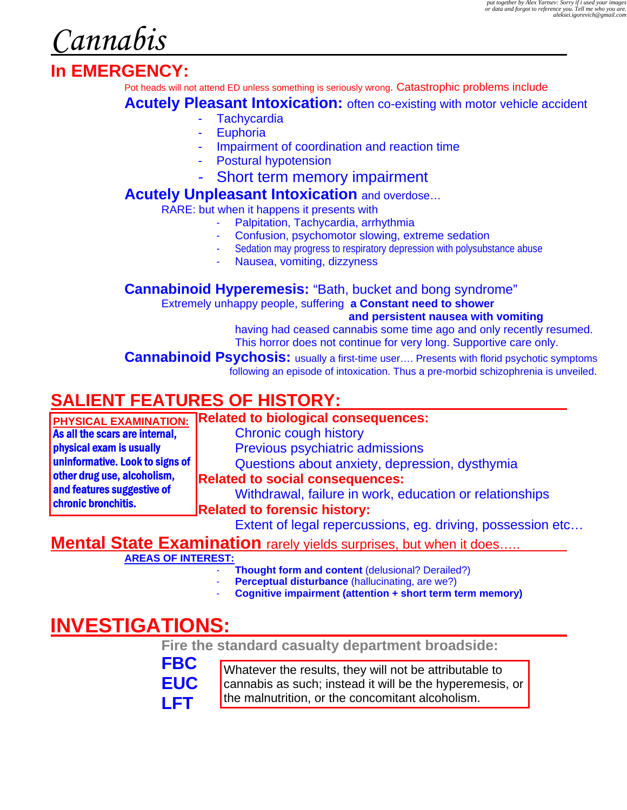*Cannabis* 

# **In EMERGENCY:**

Pot heads will not attend ED unless something is seriously wrong. Catastrophic problems include

**Acutely Pleasant Intoxication:** often co-existing with motor vehicle accident

- **Tachycardia**
- **Euphoria**
- Impairment of coordination and reaction time
- Postural hypotension
- Short term memory impairment

## **Acutely Unpleasant Intoxication** and overdose…

RARE: but when it happens it presents with

- Palpitation, Tachycardia, arrhythmia
- Confusion, psychomotor slowing, extreme sedation
- Sedation may progress to respiratory depression with polysubstance abuse
- Nausea, vomiting, dizzyness

**Cannabinoid Hyperemesis:** "Bath, bucket and bong syndrome"

Extremely unhappy people, suffering **a Constant need to shower** 

#### **and persistent nausea with vomiting**

having had ceased cannabis some time ago and only recently resumed. This horror does not continue for very long. Supportive care only.

**Cannabinoid Psychosis:** usually a first-time user.... Presents with florid psychotic symptoms following an episode of intoxication. Thus a pre-morbid schizophrenia is unveiled.

# **SALIENT FEATURES OF HISTORY:**

|                                 | PHYSICAL EXAMINATION: Related to biological consequences: |
|---------------------------------|-----------------------------------------------------------|
| As all the scars are internal,  | <b>Chronic cough history</b>                              |
| physical exam is usually        | Previous psychiatric admissions                           |
| uninformative. Look to signs of | Questions about anxiety, depression, dysthymia            |
| other drug use, alcoholism,     | <b>Related to social consequences:</b>                    |
| and features suggestive of      | Withdrawal, failure in work, education or relationships   |
| chronic bronchitis.             | <b>Related to forensic history:</b>                       |
|                                 | Extent of legal repercussions eq driving possession etc.  |

 $\,$   $\,$  nt or legal repercussions, eg. driving, possession etc…

# **Mental State Examination** rarely yields surprises, but when it does.....

**AREAS OF INTEREST:**

- **Thought form and content (delusional? Derailed?)**
- **Perceptual disturbance** (hallucinating, are we?)
- **Cognitive impairment (attention + short term term memory)**

# **INVESTIGATIONS:**

 **Fire the standard casualty department broadside:** 

| <b>FBC</b> | Whatever the results, they will not be attributable to   |
|------------|----------------------------------------------------------|
| EUC.       | cannabis as such; instead it will be the hyperemesis, or |
| l FT       | the malnutrition, or the concomitant alcoholism.         |
|            |                                                          |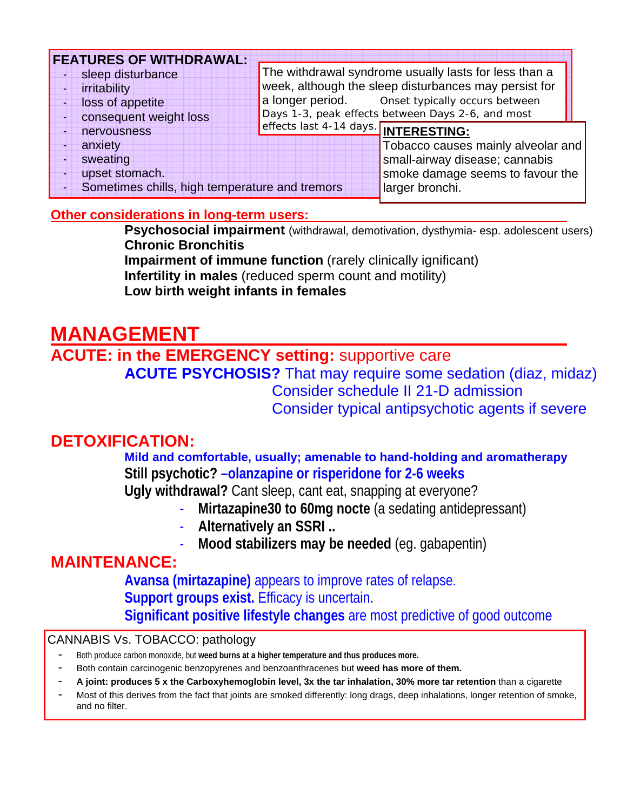| <b>FEATURES OF WITHDRAWAL:</b>                 |                                                       |
|------------------------------------------------|-------------------------------------------------------|
| sleep disturbance                              | The withdrawal syndrome usually lasts for less than a |
| irritability                                   | week, although the sleep disturbances may persist for |
| loss of appetite                               | a longer period. Onset typically occurs between       |
| consequent weight loss                         | Days 1-3, peak effects between Days 2-6, and most     |
| nervousness                                    | effects last 4-14 days. INTERESTING:                  |
| anxiety                                        | Tobacco causes mainly alveolar and                    |
| sweating                                       | small-airway disease; cannabis                        |
| upset stomach.                                 | smoke damage seems to favour the                      |
| Sometimes chills, high temperature and tremors | larger bronchi.                                       |

#### **Other considerations in long-term users:**

**Psychosocial impairment** (withdrawal, demotivation, dysthymia- esp. adolescent users) **Chronic Bronchitis** 

**Impairment of immune function** (rarely clinically ignificant) **Infertility in males** (reduced sperm count and motility) **Low birth weight infants in females** 

# **MANAGEMENT**

# **ACUTE: in the EMERGENCY setting:** supportive care **ACUTE PSYCHOSIS?** That may require some sedation (diaz, midaz) Consider schedule II 21-D admission Consider typical antipsychotic agents if severe

# **DETOXIFICATION:**

### **Mild and comfortable, usually; amenable to hand-holding and aromatherapy Still psychotic? –olanzapine or risperidone for 2-6 weeks**

**Ugly withdrawal?** Cant sleep, cant eat, snapping at everyone?

- **Mirtazapine30 to 60mg nocte** (a sedating antidepressant)
- **Alternatively an SSRI ..**
- **Mood stabilizers may be needed** (eg. gabapentin)

# **MAINTENANCE:**

**Avansa (mirtazapine)** appears to improve rates of relapse. **Support groups exist.** Efficacy is uncertain. **Significant positive lifestyle changes** are most predictive of good outcome

#### CANNABIS Vs. TOBACCO: pathology

- Both produce carbon monoxide, but **weed burns at a higher temperature and thus produces more.**
- Both contain carcinogenic benzopyrenes and benzoanthracenes but **weed has more of them.**
- **A joint: produces 5 x the Carboxyhemoglobin level, 3x the tar inhalation, 30% more tar retention** than a cigarette
- Most of this derives from the fact that joints are smoked differently: long drags, deep inhalations, longer retention of smoke, and no filter.